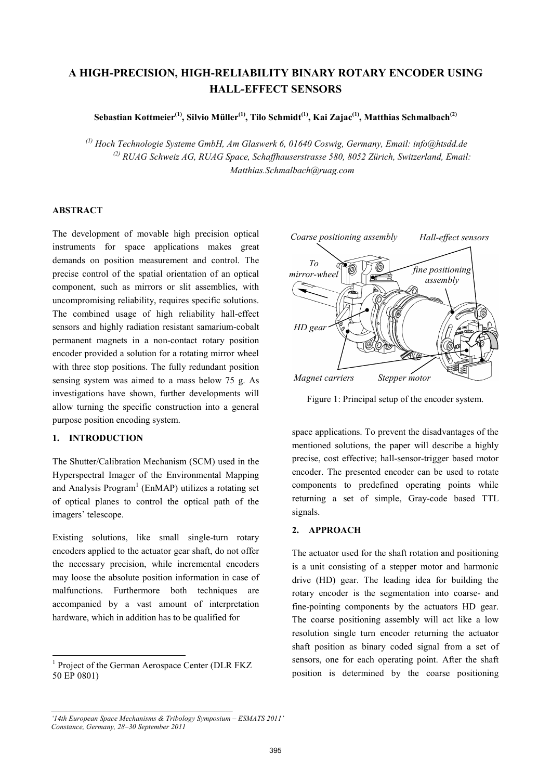# **A HIGH-PRECISION, HIGH-RELIABILITY BINARY ROTARY ENCODER USING HALL-EFFECT SENSORS**

**Sebastian Kottmeier(1), Silvio Müller(1), Tilo Schmidt(1), Kai Zajac(1), Matthias Schmalbach(2)**

*(1) Hoch Technologie Systeme GmbH, Am Glaswerk 6, 01640 Coswig, Germany, Email: info@htsdd.de (2) RUAG Schweiz AG, RUAG Space, Schaffhauserstrasse 580, 8052 Zürich, Switzerland, Email: Matthias.Schmalbach@ruag.com* 

# **ABSTRACT**

The development of movable high precision optical instruments for space applications makes great demands on position measurement and control. The precise control of the spatial orientation of an optical component, such as mirrors or slit assemblies, with uncompromising reliability, requires specific solutions. The combined usage of high reliability hall-effect sensors and highly radiation resistant samarium-cobalt permanent magnets in a non-contact rotary position encoder provided a solution for a rotating mirror wheel with three stop positions. The fully redundant position sensing system was aimed to a mass below 75 g. As investigations have shown, further developments will allow turning the specific construction into a general purpose position encoding system.

# **1. INTRODUCTION**

 $\overline{a}$ 

The Shutter/Calibration Mechanism (SCM) used in the Hyperspectral Imager of the Environmental Mapping and Analysis  $Program<sup>1</sup>$  (EnMAP) utilizes a rotating set of optical planes to control the optical path of the imagers' telescope.

Existing solutions, like small single-turn rotary encoders applied to the actuator gear shaft, do not offer the necessary precision, while incremental encoders may loose the absolute position information in case of malfunctions. Furthermore both techniques are accompanied by a vast amount of interpretation hardware, which in addition has to be qualified for



Figure 1: Principal setup of the encoder system.

space applications. To prevent the disadvantages of the mentioned solutions, the paper will describe a highly precise, cost effective; hall-sensor-trigger based motor encoder. The presented encoder can be used to rotate components to predefined operating points while returning a set of simple, Gray-code based TTL signals.

#### **2. APPROACH**

The actuator used for the shaft rotation and positioning is a unit consisting of a stepper motor and harmonic drive (HD) gear. The leading idea for building the rotary encoder is the segmentation into coarse- and fine-pointing components by the actuators HD gear. The coarse positioning assembly will act like a low resolution single turn encoder returning the actuator shaft position as binary coded signal from a set of sensors, one for each operating point. After the shaft position is determined by the coarse positioning

<sup>&</sup>lt;sup>1</sup> Project of the German Aerospace Center (DLR FKZ 50 EP 0801)

*<sup>&#</sup>x27;14th European Space Mechanisms & Tribology Symposium – ESMATS 2011' Constance, Germany, 28–30 September 2011*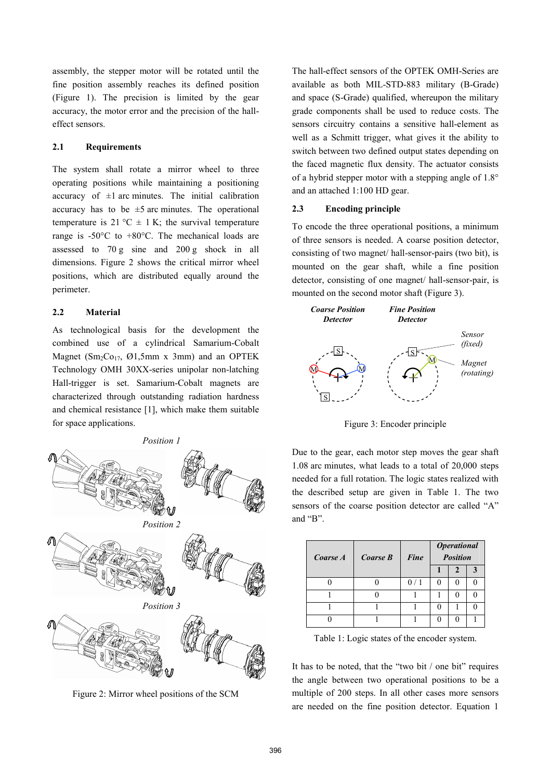assembly, the stepper motor will be rotated until the fine position assembly reaches its defined position (Figure 1). The precision is limited by the gear accuracy, the motor error and the precision of the halleffect sensors.

## **2.1 Requirements**

The system shall rotate a mirror wheel to three operating positions while maintaining a positioning accuracy of  $\pm 1$  arc minutes. The initial calibration accuracy has to be  $\pm 5$  arc minutes. The operational temperature is 21 °C  $\pm$  1 K; the survival temperature range is -50°C to +80°C. The mechanical loads are assessed to 70 g sine and 200 g shock in all dimensions. Figure 2 shows the critical mirror wheel positions, which are distributed equally around the perimeter.

# **2.2 Material**

As technological basis for the development the combined use of a cylindrical Samarium-Cobalt Magnet ( $Sm<sub>2</sub>Co<sub>17</sub>$ ,  $Ø1$ , 5mm x 3mm) and an OPTEK Technology OMH 30XX-series unipolar non-latching Hall-trigger is set. Samarium-Cobalt magnets are characterized through outstanding radiation hardness and chemical resistance [1], which make them suitable for space applications.



Figure 2: Mirror wheel positions of the SCM

The hall-effect sensors of the OPTEK OMH-Series are available as both MIL-STD-883 military (B-Grade) and space (S-Grade) qualified, whereupon the military grade components shall be used to reduce costs. The sensors circuitry contains a sensitive hall-element as well as a Schmitt trigger, what gives it the ability to switch between two defined output states depending on the faced magnetic flux density. The actuator consists of a hybrid stepper motor with a stepping angle of 1.8° and an attached 1:100 HD gear.

#### **2.3 Encoding principle**

To encode the three operational positions, a minimum of three sensors is needed. A coarse position detector, consisting of two magnet/ hall-sensor-pairs (two bit), is mounted on the gear shaft, while a fine position detector, consisting of one magnet/ hall-sensor-pair, is mounted on the second motor shaft (Figure 3).



Figure 3: Encoder principle

Due to the gear, each motor step moves the gear shaft 1.08 arc minutes, what leads to a total of 20,000 steps needed for a full rotation. The logic states realized with the described setup are given in Table 1. The two sensors of the coarse position detector are called "A" and "B".

| Coarse A | Coarse B | Fine | <b>Operational</b><br><b>Position</b> |  |  |
|----------|----------|------|---------------------------------------|--|--|
|          |          |      |                                       |  |  |
|          |          | 0/1  |                                       |  |  |
|          |          |      |                                       |  |  |
|          |          |      |                                       |  |  |
|          |          |      |                                       |  |  |

Table 1: Logic states of the encoder system.

It has to be noted, that the "two bit / one bit" requires the angle between two operational positions to be a multiple of 200 steps. In all other cases more sensors are needed on the fine position detector. Equation 1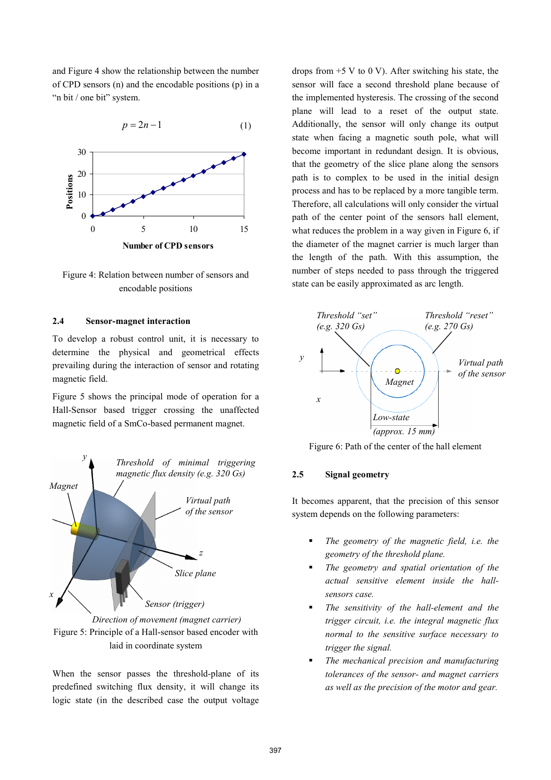and Figure 4 show the relationship between the number of CPD sensors (n) and the encodable positions (p) in a "n bit / one bit" system.

$$
p = 2n - 1 \tag{1}
$$



Figure 4: Relation between number of sensors and encodable positions

# **2.4 Sensor-magnet interaction**

To develop a robust control unit, it is necessary to determine the physical and geometrical effects prevailing during the interaction of sensor and rotating magnetic field.

Figure 5 shows the principal mode of operation for a Hall-Sensor based trigger crossing the unaffected magnetic field of a SmCo-based permanent magnet.



Figure 5: Principle of a Hall-sensor based encoder with laid in coordinate system *Direction of movement (magnet carrier)* 

When the sensor passes the threshold-plane of its predefined switching flux density, it will change its logic state (in the described case the output voltage

drops from  $+5$  V to 0 V). After switching his state, the sensor will face a second threshold plane because of the implemented hysteresis. The crossing of the second plane will lead to a reset of the output state. Additionally, the sensor will only change its output state when facing a magnetic south pole, what will become important in redundant design. It is obvious, that the geometry of the slice plane along the sensors path is to complex to be used in the initial design process and has to be replaced by a more tangible term. Therefore, all calculations will only consider the virtual path of the center point of the sensors hall element, what reduces the problem in a way given in Figure 6, if the diameter of the magnet carrier is much larger than the length of the path. With this assumption, the number of steps needed to pass through the triggered state can be easily approximated as arc length.



Figure 6: Path of the center of the hall element

#### **2.5 Signal geometry**

It becomes apparent, that the precision of this sensor system depends on the following parameters:

- *The geometry of the magnetic field, i.e. the geometry of the threshold plane.*
- *The geometry and spatial orientation of the actual sensitive element inside the hallsensors case.*
- *The sensitivity of the hall-element and the trigger circuit, i.e. the integral magnetic flux normal to the sensitive surface necessary to trigger the signal.*
- *The mechanical precision and manufacturing tolerances of the sensor- and magnet carriers as well as the precision of the motor and gear.*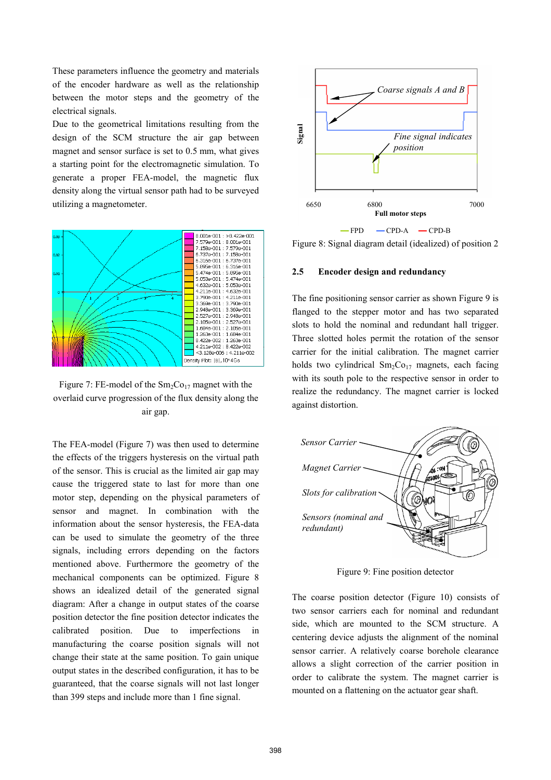These parameters influence the geometry and materials of the encoder hardware as well as the relationship between the motor steps and the geometry of the electrical signals.

Due to the geometrical limitations resulting from the design of the SCM structure the air gap between magnet and sensor surface is set to 0.5 mm, what gives a starting point for the electromagnetic simulation. To generate a proper FEA-model, the magnetic flux density along the virtual sensor path had to be surveyed utilizing a magnetometer.



Figure 7: FE-model of the  $Sm<sub>2</sub>Co<sub>17</sub>$  magnet with the overlaid curve progression of the flux density along the air gap.

The FEA-model (Figure 7) was then used to determine the effects of the triggers hysteresis on the virtual path of the sensor. This is crucial as the limited air gap may cause the triggered state to last for more than one motor step, depending on the physical parameters of sensor and magnet. In combination with the information about the sensor hysteresis, the FEA-data can be used to simulate the geometry of the three signals, including errors depending on the factors mentioned above. Furthermore the geometry of the mechanical components can be optimized. Figure 8 shows an idealized detail of the generated signal diagram: After a change in output states of the coarse position detector the fine position detector indicates the calibrated position. Due to imperfections in manufacturing the coarse position signals will not change their state at the same position. To gain unique output states in the described configuration, it has to be guaranteed, that the coarse signals will not last longer than 399 steps and include more than 1 fine signal.



Figure 8: Signal diagram detail (idealized) of position 2

#### **2.5 Encoder design and redundancy**

The fine positioning sensor carrier as shown Figure 9 is flanged to the stepper motor and has two separated slots to hold the nominal and redundant hall trigger. Three slotted holes permit the rotation of the sensor carrier for the initial calibration. The magnet carrier holds two cylindrical  $Sm<sub>2</sub>Co<sub>17</sub>$  magnets, each facing with its south pole to the respective sensor in order to realize the redundancy. The magnet carrier is locked against distortion.



Figure 9: Fine position detector

The coarse position detector (Figure 10) consists of two sensor carriers each for nominal and redundant side, which are mounted to the SCM structure. A centering device adjusts the alignment of the nominal sensor carrier. A relatively coarse borehole clearance allows a slight correction of the carrier position in order to calibrate the system. The magnet carrier is mounted on a flattening on the actuator gear shaft.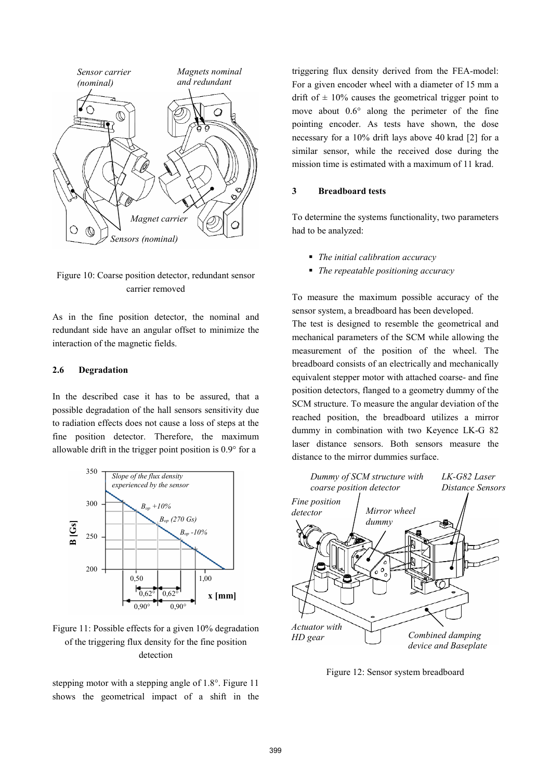

# Figure 10: Coarse position detector, redundant sensor carrier removed

As in the fine position detector, the nominal and redundant side have an angular offset to minimize the interaction of the magnetic fields.

#### **2.6 Degradation**

In the described case it has to be assured, that a possible degradation of the hall sensors sensitivity due to radiation effects does not cause a loss of steps at the fine position detector. Therefore, the maximum allowable drift in the trigger point position is 0.9° for a



# Figure 11: Possible effects for a given 10% degradation of the triggering flux density for the fine position detection

stepping motor with a stepping angle of 1.8°. Figure 11 shows the geometrical impact of a shift in the triggering flux density derived from the FEA-model: For a given encoder wheel with a diameter of 15 mm a drift of  $\pm$  10% causes the geometrical trigger point to move about 0.6° along the perimeter of the fine pointing encoder. As tests have shown, the dose necessary for a 10% drift lays above 40 krad [2] for a similar sensor, while the received dose during the mission time is estimated with a maximum of 11 krad.

#### **3 Breadboard tests**

To determine the systems functionality, two parameters had to be analyzed:

- *The initial calibration accuracy*
- *The repeatable positioning accuracy*

To measure the maximum possible accuracy of the sensor system, a breadboard has been developed.

The test is designed to resemble the geometrical and mechanical parameters of the SCM while allowing the measurement of the position of the wheel. The breadboard consists of an electrically and mechanically equivalent stepper motor with attached coarse- and fine position detectors, flanged to a geometry dummy of the SCM structure. To measure the angular deviation of the reached position, the breadboard utilizes a mirror dummy in combination with two Keyence LK-G 82 laser distance sensors. Both sensors measure the distance to the mirror dummies surface.



Figure 12: Sensor system breadboard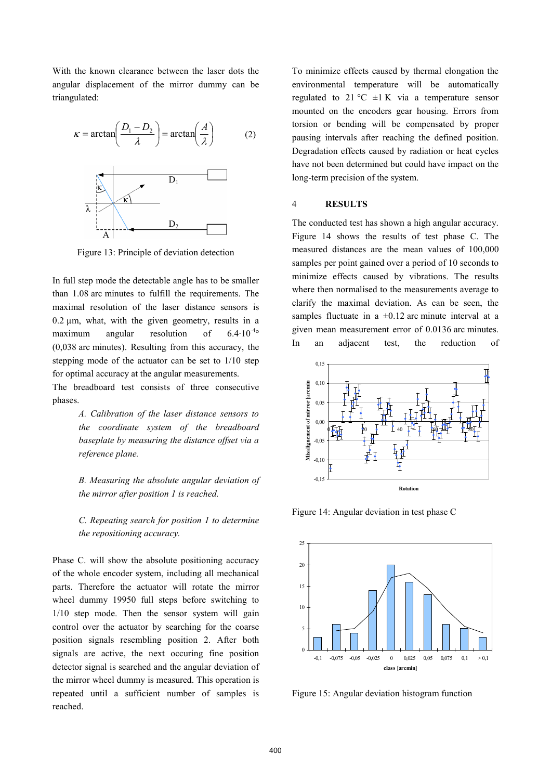With the known clearance between the laser dots the angular displacement of the mirror dummy can be triangulated:



Figure 13: Principle of deviation detection

In full step mode the detectable angle has to be smaller than 1.08 arc minutes to fulfill the requirements. The maximal resolution of the laser distance sensors is  $0.2 \mu m$ , what, with the given geometry, results in a maximum angular resolution of  $6.4 \cdot 10^{-4}$ ° (0,038 arc minutes). Resulting from this accuracy, the stepping mode of the actuator can be set to 1/10 step for optimal accuracy at the angular measurements.

The breadboard test consists of three consecutive phases.

> *A. Calibration of the laser distance sensors to the coordinate system of the breadboard baseplate by measuring the distance offset via a reference plane.*

> *B. Measuring the absolute angular deviation of the mirror after position 1 is reached.*

> *C. Repeating search for position 1 to determine the repositioning accuracy.*

Phase C. will show the absolute positioning accuracy of the whole encoder system, including all mechanical parts. Therefore the actuator will rotate the mirror wheel dummy 19950 full steps before switching to 1/10 step mode. Then the sensor system will gain control over the actuator by searching for the coarse position signals resembling position 2. After both signals are active, the next occuring fine position detector signal is searched and the angular deviation of the mirror wheel dummy is measured. This operation is repeated until a sufficient number of samples is reached.

To minimize effects caused by thermal elongation the environmental temperature will be automatically regulated to 21 °C  $\pm$ 1 K via a temperature sensor mounted on the encoders gear housing. Errors from torsion or bending will be compensated by proper pausing intervals after reaching the defined position. Degradation effects caused by radiation or heat cycles have not been determined but could have impact on the long-term precision of the system.

#### 4 **RESULTS**

The conducted test has shown a high angular accuracy. Figure 14 shows the results of test phase C. The measured distances are the mean values of 100,000 samples per point gained over a period of 10 seconds to minimize effects caused by vibrations. The results where then normalised to the measurements average to clarify the maximal deviation. As can be seen, the samples fluctuate in a  $\pm 0.12$  arc minute interval at a given mean measurement error of 0.0136 arc minutes. In an adjacent test, the reduction of



Figure 14: Angular deviation in test phase C



Figure 15: Angular deviation histogram function